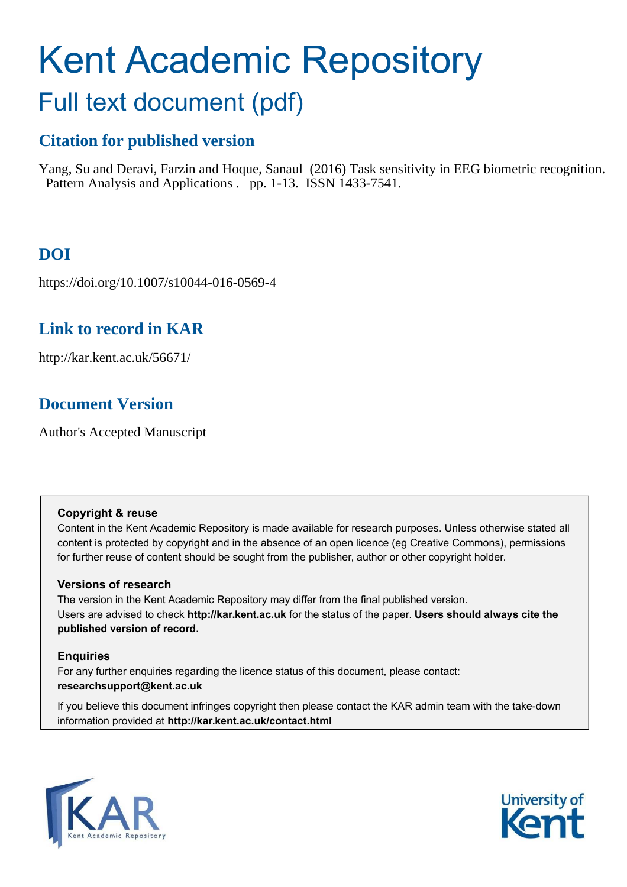# Kent Academic Repository

## Full text document (pdf)

## **Citation for published version**

Yang, Su and Deravi, Farzin and Hoque, Sanaul (2016) Task sensitivity in EEG biometric recognition. Pattern Analysis and Applications . pp. 1-13. ISSN 1433-7541.

## **DOI**

https://doi.org/10.1007/s10044-016-0569-4

## **Link to record in KAR**

http://kar.kent.ac.uk/56671/

## **Document Version**

Author's Accepted Manuscript

#### **Copyright & reuse**

Content in the Kent Academic Repository is made available for research purposes. Unless otherwise stated all content is protected by copyright and in the absence of an open licence (eg Creative Commons), permissions for further reuse of content should be sought from the publisher, author or other copyright holder.

#### **Versions of research**

The version in the Kent Academic Repository may differ from the final published version. Users are advised to check **http://kar.kent.ac.uk** for the status of the paper. **Users should always cite the published version of record.**

#### **Enquiries**

For any further enquiries regarding the licence status of this document, please contact: **researchsupport@kent.ac.uk**

If you believe this document infringes copyright then please contact the KAR admin team with the take-down information provided at **http://kar.kent.ac.uk/contact.html**



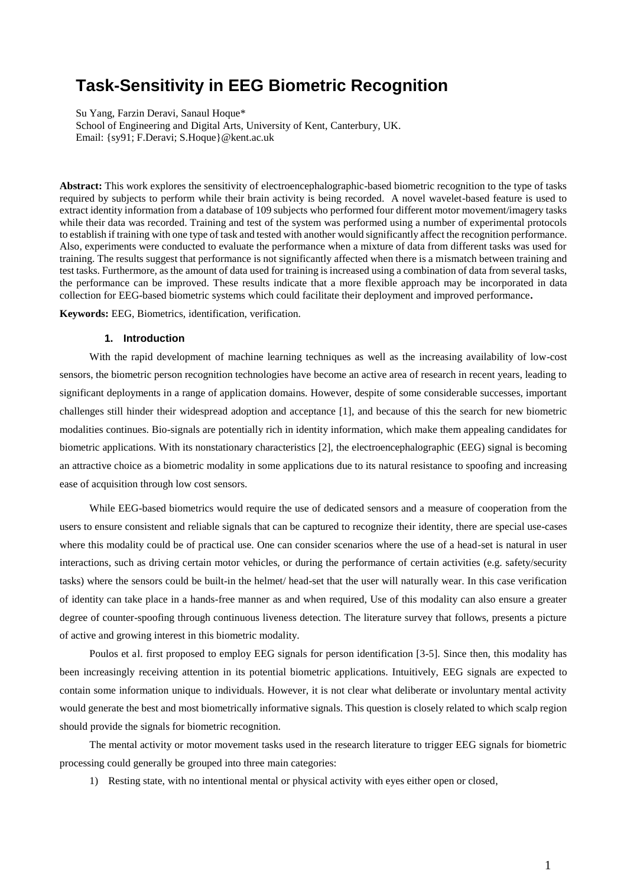### **Task-Sensitivity in EEG Biometric Recognition**

Su Yang, Farzin Deravi, Sanaul Hoque\* School of Engineering and Digital Arts, University of Kent, Canterbury, UK. Email: {sy91; F.Deravi; S.Hoque}@kent.ac.uk

**Abstract:** This work explores the sensitivity of electroencephalographic-based biometric recognition to the type of tasks required by subjects to perform while their brain activity is being recorded. A novel wavelet-based feature is used to extract identity information from a database of 109 subjects who performed four different motor movement/imagery tasks while their data was recorded. Training and test of the system was performed using a number of experimental protocols to establish if training with one type of task and tested with another would significantly affect the recognition performance. Also, experiments were conducted to evaluate the performance when a mixture of data from different tasks was used for training. The results suggest that performance is not significantly affected when there is a mismatch between training and test tasks. Furthermore, as the amount of data used for training is increased using a combination of data from several tasks, the performance can be improved. These results indicate that a more flexible approach may be incorporated in data collection for EEG-based biometric systems which could facilitate their deployment and improved performance**.** 

**Keywords:** EEG, Biometrics, identification, verification.

#### **1. Introduction**

With the rapid development of machine learning techniques as well as the increasing availability of low-cost sensors, the biometric person recognition technologies have become an active area of research in recent years, leading to significant deployments in a range of application domains. However, despite of some considerable successes, important challenges still hinder their widespread adoption and acceptance [1], and because of this the search for new biometric modalities continues. Bio-signals are potentially rich in identity information, which make them appealing candidates for biometric applications. With its nonstationary characteristics [2], the electroencephalographic (EEG) signal is becoming an attractive choice as a biometric modality in some applications due to its natural resistance to spoofing and increasing ease of acquisition through low cost sensors.

While EEG-based biometrics would require the use of dedicated sensors and a measure of cooperation from the users to ensure consistent and reliable signals that can be captured to recognize their identity, there are special use-cases where this modality could be of practical use. One can consider scenarios where the use of a head-set is natural in user interactions, such as driving certain motor vehicles, or during the performance of certain activities (e.g. safety/security tasks) where the sensors could be built-in the helmet/ head-set that the user will naturally wear. In this case verification of identity can take place in a hands-free manner as and when required, Use of this modality can also ensure a greater degree of counter-spoofing through continuous liveness detection. The literature survey that follows, presents a picture of active and growing interest in this biometric modality.

Poulos et al. first proposed to employ EEG signals for person identification [3-5]. Since then, this modality has been increasingly receiving attention in its potential biometric applications. Intuitively, EEG signals are expected to contain some information unique to individuals. However, it is not clear what deliberate or involuntary mental activity would generate the best and most biometrically informative signals. This question is closely related to which scalp region should provide the signals for biometric recognition.

The mental activity or motor movement tasks used in the research literature to trigger EEG signals for biometric processing could generally be grouped into three main categories:

1) Resting state, with no intentional mental or physical activity with eyes either open or closed,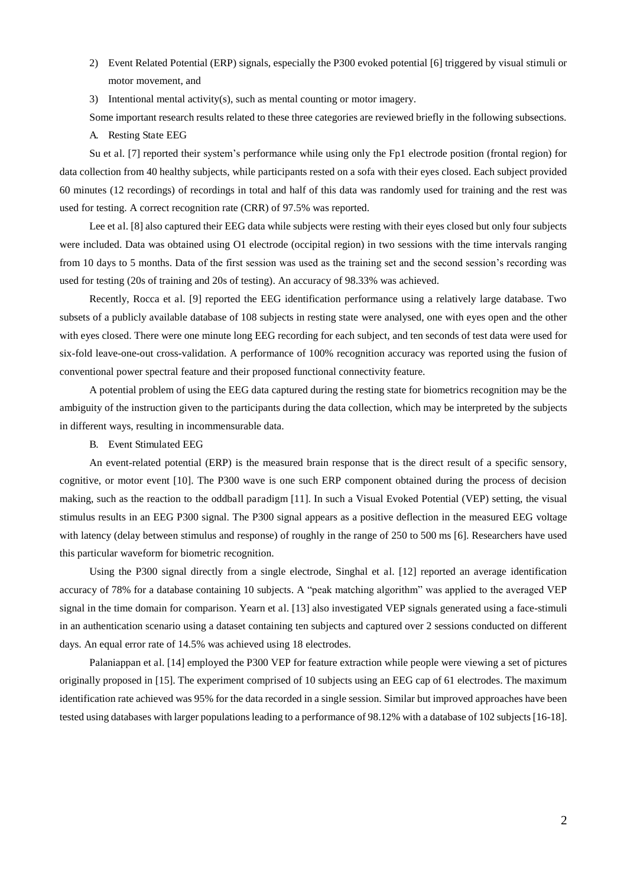- 2) Event Related Potential (ERP) signals, especially the P300 evoked potential [6] triggered by visual stimuli or motor movement, and
- 3) Intentional mental activity(s), such as mental counting or motor imagery.

Some important research results related to these three categories are reviewed briefly in the following subsections.

A. Resting State EEG

Su et al. [7] reported their system's performance while using only the Fp1 electrode position (frontal region) for data collection from 40 healthy subjects, while participants rested on a sofa with their eyes closed. Each subject provided 60 minutes (12 recordings) of recordings in total and half of this data was randomly used for training and the rest was used for testing. A correct recognition rate (CRR) of 97.5% was reported.

Lee et al. [8] also captured their EEG data while subjects were resting with their eyes closed but only four subjects were included. Data was obtained using O1 electrode (occipital region) in two sessions with the time intervals ranging from 10 days to 5 months. Data of the first session was used as the training set and the second session's recording was used for testing (20s of training and 20s of testing). An accuracy of 98.33% was achieved.

Recently, Rocca et al. [9] reported the EEG identification performance using a relatively large database. Two subsets of a publicly available database of 108 subjects in resting state were analysed, one with eyes open and the other with eyes closed. There were one minute long EEG recording for each subject, and ten seconds of test data were used for six-fold leave-one-out cross-validation. A performance of 100% recognition accuracy was reported using the fusion of conventional power spectral feature and their proposed functional connectivity feature.

A potential problem of using the EEG data captured during the resting state for biometrics recognition may be the ambiguity of the instruction given to the participants during the data collection, which may be interpreted by the subjects in different ways, resulting in incommensurable data.

B. Event Stimulated EEG

An event-related potential (ERP) is the measured brain response that is the direct result of a specific sensory, cognitive, or motor event [10]. The P300 wave is one such ERP component obtained during the process of decision making, such as the reaction to the oddball paradigm [11]. In such a Visual Evoked Potential (VEP) setting, the visual stimulus results in an EEG P300 signal. The P300 signal appears as a positive deflection in the measured EEG voltage with latency (delay between stimulus and response) of roughly in the range of 250 to 500 ms [6]. Researchers have used this particular waveform for biometric recognition.

Using the P300 signal directly from a single electrode, Singhal et al. [12] reported an average identification accuracy of 78% for a database containing 10 subjects. A "peak matching algorithm" was applied to the averaged VEP signal in the time domain for comparison. Yearn et al. [13] also investigated VEP signals generated using a face-stimuli in an authentication scenario using a dataset containing ten subjects and captured over 2 sessions conducted on different days. An equal error rate of 14.5% was achieved using 18 electrodes.

Palaniappan et al. [14] employed the P300 VEP for feature extraction while people were viewing a set of pictures originally proposed in [15]. The experiment comprised of 10 subjects using an EEG cap of 61 electrodes. The maximum identification rate achieved was 95% for the data recorded in a single session. Similar but improved approaches have been tested using databases with larger populations leading to a performance of 98.12% with a database of 102 subjects [16-18].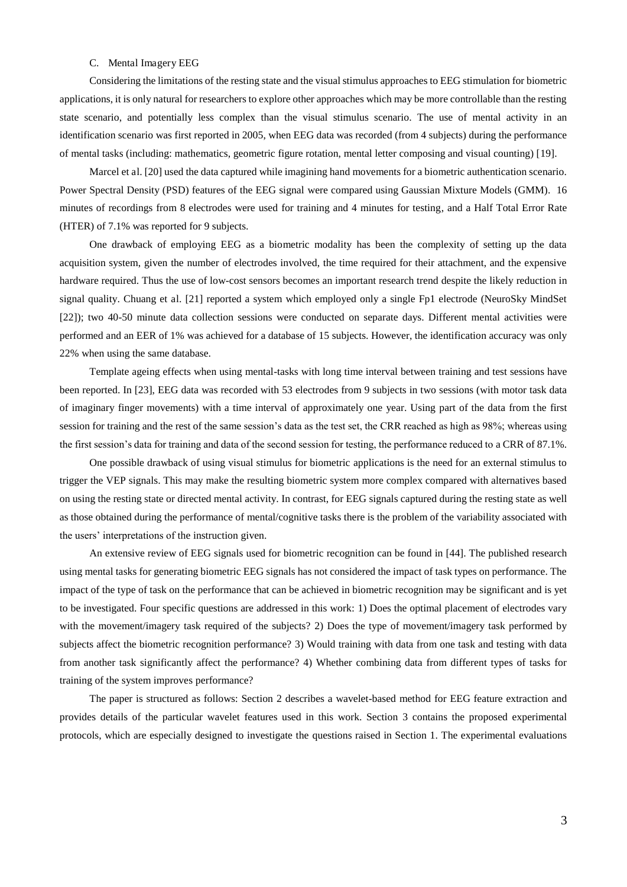#### C. Mental Imagery EEG

Considering the limitations of the resting state and the visual stimulus approaches to EEG stimulation for biometric applications, it is only natural for researchers to explore other approaches which may be more controllable than the resting state scenario, and potentially less complex than the visual stimulus scenario. The use of mental activity in an identification scenario was first reported in 2005, when EEG data was recorded (from 4 subjects) during the performance of mental tasks (including: mathematics, geometric figure rotation, mental letter composing and visual counting) [19].

Marcel et al. [20] used the data captured while imagining hand movements for a biometric authentication scenario. Power Spectral Density (PSD) features of the EEG signal were compared using Gaussian Mixture Models (GMM). 16 minutes of recordings from 8 electrodes were used for training and 4 minutes for testing, and a Half Total Error Rate (HTER) of 7.1% was reported for 9 subjects.

One drawback of employing EEG as a biometric modality has been the complexity of setting up the data acquisition system, given the number of electrodes involved, the time required for their attachment, and the expensive hardware required. Thus the use of low-cost sensors becomes an important research trend despite the likely reduction in signal quality. Chuang et al. [21] reported a system which employed only a single Fp1 electrode (NeuroSky MindSet [22]); two 40-50 minute data collection sessions were conducted on separate days. Different mental activities were performed and an EER of 1% was achieved for a database of 15 subjects. However, the identification accuracy was only 22% when using the same database.

Template ageing effects when using mental-tasks with long time interval between training and test sessions have been reported. In [23], EEG data was recorded with 53 electrodes from 9 subjects in two sessions (with motor task data of imaginary finger movements) with a time interval of approximately one year. Using part of the data from the first session for training and the rest of the same session's data as the test set, the CRR reached as high as 98%; whereas using the first session's data for training and data of the second session for testing, the performance reduced to a CRR of 87.1%.

One possible drawback of using visual stimulus for biometric applications is the need for an external stimulus to trigger the VEP signals. This may make the resulting biometric system more complex compared with alternatives based on using the resting state or directed mental activity. In contrast, for EEG signals captured during the resting state as well as those obtained during the performance of mental/cognitive tasks there is the problem of the variability associated with the users' interpretations of the instruction given.

An extensive review of EEG signals used for biometric recognition can be found in [44]. The published research using mental tasks for generating biometric EEG signals has not considered the impact of task types on performance. The impact of the type of task on the performance that can be achieved in biometric recognition may be significant and is yet to be investigated. Four specific questions are addressed in this work: 1) Does the optimal placement of electrodes vary with the movement/imagery task required of the subjects? 2) Does the type of movement/imagery task performed by subjects affect the biometric recognition performance? 3) Would training with data from one task and testing with data from another task significantly affect the performance? 4) Whether combining data from different types of tasks for training of the system improves performance?

The paper is structured as follows: Section 2 describes a wavelet-based method for EEG feature extraction and provides details of the particular wavelet features used in this work. Section 3 contains the proposed experimental protocols, which are especially designed to investigate the questions raised in Section 1. The experimental evaluations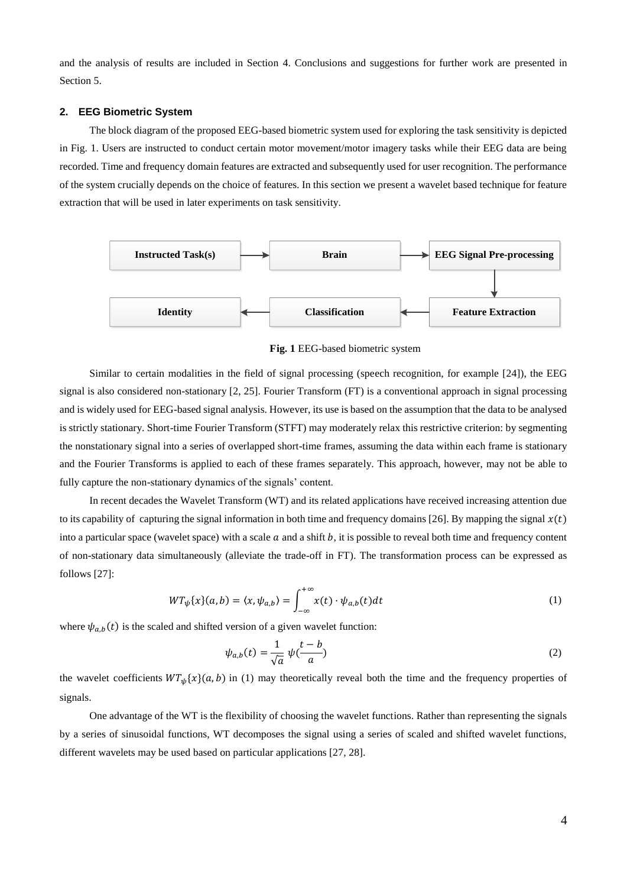and the analysis of results are included in Section 4. Conclusions and suggestions for further work are presented in Section 5.

#### **2. EEG Biometric System**

The block diagram of the proposed EEG-based biometric system used for exploring the task sensitivity is depicted in Fig. 1. Users are instructed to conduct certain motor movement/motor imagery tasks while their EEG data are being recorded. Time and frequency domain features are extracted and subsequently used for user recognition. The performance of the system crucially depends on the choice of features. In this section we present a wavelet based technique for feature extraction that will be used in later experiments on task sensitivity.



**Fig. 1** EEG-based biometric system

Similar to certain modalities in the field of signal processing (speech recognition, for example [24]), the EEG signal is also considered non-stationary [2, 25]. Fourier Transform (FT) is a conventional approach in signal processing and is widely used for EEG-based signal analysis. However, its use is based on the assumption that the data to be analysed is strictly stationary. Short-time Fourier Transform (STFT) may moderately relax this restrictive criterion: by segmenting the nonstationary signal into a series of overlapped short-time frames, assuming the data within each frame is stationary and the Fourier Transforms is applied to each of these frames separately. This approach, however, may not be able to fully capture the non-stationary dynamics of the signals' content.

In recent decades the Wavelet Transform (WT) and its related applications have received increasing attention due to its capability of capturing the signal information in both time and frequency domains [26]. By mapping the signal  $x(t)$ into a particular space (wavelet space) with a scale  $\alpha$  and a shift  $\beta$ , it is possible to reveal both time and frequency content of non-stationary data simultaneously (alleviate the trade-off in FT). The transformation process can be expressed as follows [27]:

$$
WT_{\psi}\{x\}(a,b) = \langle x, \psi_{a,b}\rangle = \int_{-\infty}^{+\infty} x(t) \cdot \psi_{a,b}(t) dt
$$
 (1)

where  $\psi_{a,b}(t)$  is the scaled and shifted version of a given wavelet function:

$$
\psi_{a,b}(t) = \frac{1}{\sqrt{a}} \psi(\frac{t-b}{a})
$$
\n(2)

the wavelet coefficients  $WT_{ub}\{x\}(a, b)$  in (1) may theoretically reveal both the time and the frequency properties of signals.

One advantage of the WT is the flexibility of choosing the wavelet functions. Rather than representing the signals by a series of sinusoidal functions, WT decomposes the signal using a series of scaled and shifted wavelet functions, different wavelets may be used based on particular applications [27, 28].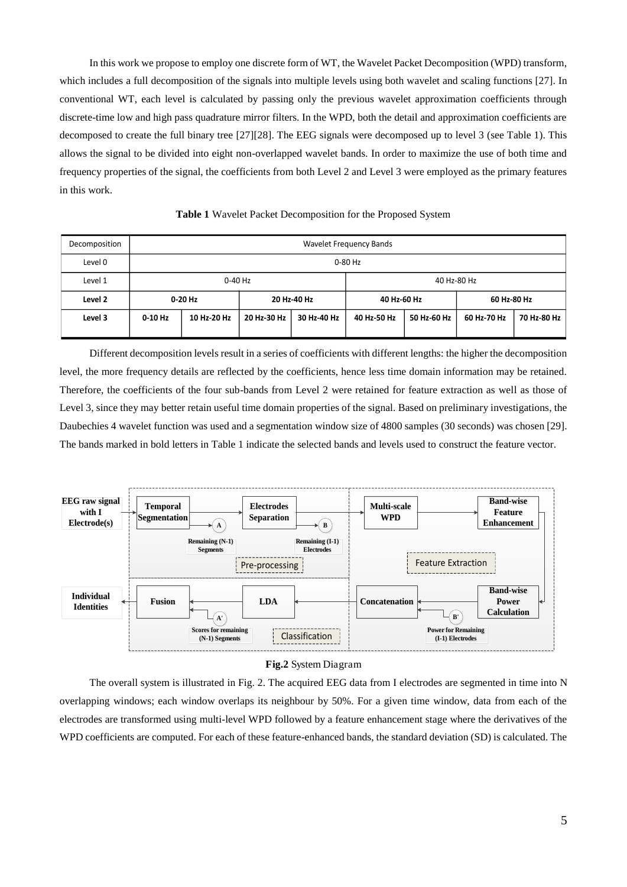In this work we propose to employ one discrete form of WT, the Wavelet Packet Decomposition (WPD) transform, which includes a full decomposition of the signals into multiple levels using both wavelet and scaling functions [27]. In conventional WT, each level is calculated by passing only the previous wavelet approximation coefficients through discrete-time low and high pass quadrature mirror filters. In the WPD, both the detail and approximation coefficients are decomposed to create the full binary tree [27][28]. The EEG signals were decomposed up to level 3 (see Table 1). This allows the signal to be divided into eight non-overlapped wavelet bands. In order to maximize the use of both time and frequency properties of the signal, the coefficients from both Level 2 and Level 3 were employed as the primary features in this work.

| Decomposition | Wavelet Frequency Bands |             |             |             |             |             |             |             |
|---------------|-------------------------|-------------|-------------|-------------|-------------|-------------|-------------|-------------|
| Level 0       | 0-80 Hz                 |             |             |             |             |             |             |             |
| Level 1       | 0-40 Hz                 |             |             |             | 40 Hz-80 Hz |             |             |             |
| Level 2       | $0-20$ Hz               |             | 20 Hz-40 Hz |             | 40 Hz-60 Hz |             | 60 Hz-80 Hz |             |
| Level 3       | 0-10 Hz                 | 10 Hz-20 Hz | 20 Hz-30 Hz | 30 Hz-40 Hz | 40 Hz-50 Hz | 50 Hz-60 Hz | 60 Hz-70 Hz | 70 Hz-80 Hz |

**Table 1** Wavelet Packet Decomposition for the Proposed System

Different decomposition levels result in a series of coefficients with different lengths: the higher the decomposition level, the more frequency details are reflected by the coefficients, hence less time domain information may be retained. Therefore, the coefficients of the four sub-bands from Level 2 were retained for feature extraction as well as those of Level 3, since they may better retain useful time domain properties of the signal. Based on preliminary investigations, the Daubechies 4 wavelet function was used and a segmentation window size of 4800 samples (30 seconds) was chosen [29]. The bands marked in bold letters in Table 1 indicate the selected bands and levels used to construct the feature vector.



#### **Fig.2** System Diagram

The overall system is illustrated in Fig. 2. The acquired EEG data from I electrodes are segmented in time into N overlapping windows; each window overlaps its neighbour by 50%. For a given time window, data from each of the electrodes are transformed using multi-level WPD followed by a feature enhancement stage where the derivatives of the WPD coefficients are computed. For each of these feature-enhanced bands, the standard deviation (SD) is calculated. The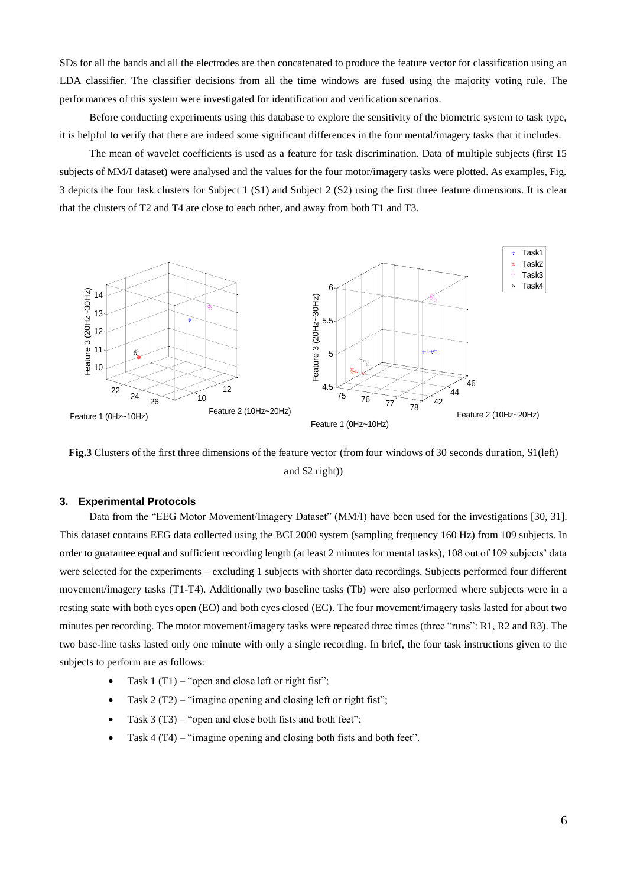SDs for all the bands and all the electrodes are then concatenated to produce the feature vector for classification using an LDA classifier. The classifier decisions from all the time windows are fused using the majority voting rule. The performances of this system were investigated for identification and verification scenarios.

Before conducting experiments using this database to explore the sensitivity of the biometric system to task type, it is helpful to verify that there are indeed some significant differences in the four mental/imagery tasks that it includes.

The mean of wavelet coefficients is used as a feature for task discrimination. Data of multiple subjects (first 15 subjects of MM/I dataset) were analysed and the values for the four motor/imagery tasks were plotted. As examples, Fig. 3 depicts the four task clusters for Subject 1 (S1) and Subject 2 (S2) using the first three feature dimensions. It is clear that the clusters of T2 and T4 are close to each other, and away from both T1 and T3.



**Fig.3** Clusters of the first three dimensions of the feature vector (from four windows of 30 seconds duration, S1(left) and S2 right))

#### **3. Experimental Protocols**

Data from the "EEG Motor Movement/Imagery Dataset" (MM/I) have been used for the investigations [30, 31]. This dataset contains EEG data collected using the BCI 2000 system (sampling frequency 160 Hz) from 109 subjects. In order to guarantee equal and sufficient recording length (at least 2 minutes for mental tasks), 108 out of 109 subjects' data were selected for the experiments – excluding 1 subjects with shorter data recordings. Subjects performed four different movement/imagery tasks (T1-T4). Additionally two baseline tasks (Tb) were also performed where subjects were in a resting state with both eyes open (EO) and both eyes closed (EC). The four movement/imagery tasks lasted for about two minutes per recording. The motor movement/imagery tasks were repeated three times (three "runs": R1, R2 and R3). The two base-line tasks lasted only one minute with only a single recording. In brief, the four task instructions given to the subjects to perform are as follows:

- Task  $1 (T1) -$  "open and close left or right fist";
- Task 2 (T2) "imagine opening and closing left or right fist";
- Task 3 (T3) "open and close both fists and both feet";
- Task 4 (T4) "imagine opening and closing both fists and both feet".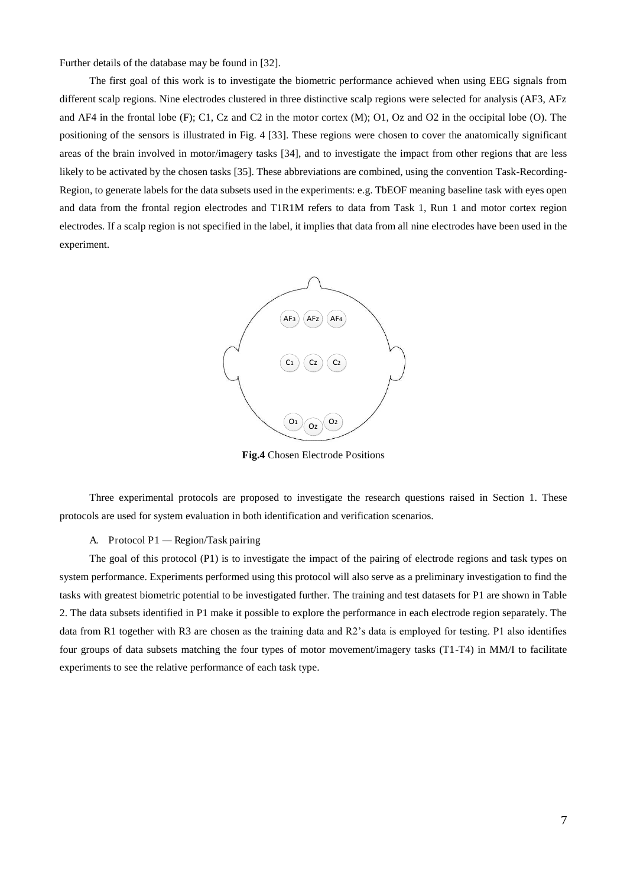Further details of the database may be found in [32].

The first goal of this work is to investigate the biometric performance achieved when using EEG signals from different scalp regions. Nine electrodes clustered in three distinctive scalp regions were selected for analysis (AF3, AFz and AF4 in the frontal lobe (F); C1, Cz and C2 in the motor cortex (M); O1, Oz and O2 in the occipital lobe (O). The positioning of the sensors is illustrated in Fig. 4 [33]. These regions were chosen to cover the anatomically significant areas of the brain involved in motor/imagery tasks [34], and to investigate the impact from other regions that are less likely to be activated by the chosen tasks [35]. These abbreviations are combined, using the convention Task-Recording-Region, to generate labels for the data subsets used in the experiments: e.g. TbEOF meaning baseline task with eyes open and data from the frontal region electrodes and T1R1M refers to data from Task 1, Run 1 and motor cortex region electrodes. If a scalp region is not specified in the label, it implies that data from all nine electrodes have been used in the experiment.



**Fig.4** Chosen Electrode Positions

Three experimental protocols are proposed to investigate the research questions raised in Section 1. These protocols are used for system evaluation in both identification and verification scenarios.

#### A. Protocol P1 *—* Region/Task pairing

The goal of this protocol (P1) is to investigate the impact of the pairing of electrode regions and task types on system performance. Experiments performed using this protocol will also serve as a preliminary investigation to find the tasks with greatest biometric potential to be investigated further. The training and test datasets for P1 are shown in Table 2. The data subsets identified in P1 make it possible to explore the performance in each electrode region separately. The data from R1 together with R3 are chosen as the training data and R2's data is employed for testing. P1 also identifies four groups of data subsets matching the four types of motor movement/imagery tasks (T1-T4) in MM/I to facilitate experiments to see the relative performance of each task type.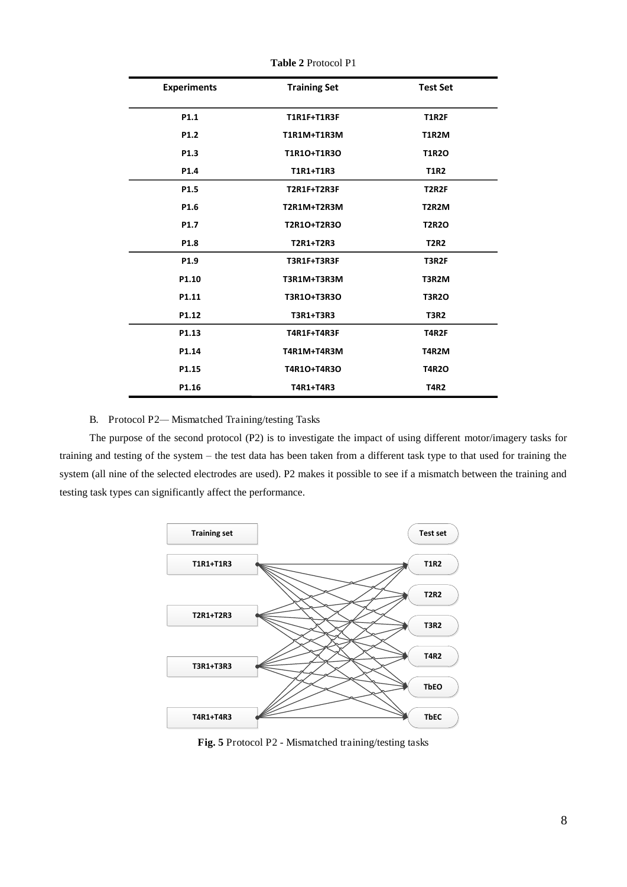| <b>Experiments</b> | <b>Training Set</b> | <b>Test Set</b> |
|--------------------|---------------------|-----------------|
| P1.1               | <b>T1R1F+T1R3F</b>  | <b>T1R2F</b>    |
| P <sub>1.2</sub>   | <b>T1R1M+T1R3M</b>  | <b>T1R2M</b>    |
| P <sub>1.3</sub>   | T1R10+T1R30         | <b>T1R2O</b>    |
| P1.4               | T1R1+T1R3           | <b>T1R2</b>     |
| P1.5               | T2R1F+T2R3F         | <b>T2R2F</b>    |
| P1.6               | <b>T2R1M+T2R3M</b>  | T2R2M           |
| P <sub>1.7</sub>   | T2R1O+T2R3O         | <b>T2R2O</b>    |
| P <sub>1.8</sub>   | T2R1+T2R3           | <b>T2R2</b>     |
| P1.9               | <b>T3R1F+T3R3F</b>  | T3R2F           |
| P1.10              | T3R1M+T3R3M         | T3R2M           |
| P1.11              | T3R1O+T3R3O         | <b>T3R2O</b>    |
| P1.12              | T3R1+T3R3           | <b>T3R2</b>     |
| P1.13              | T4R1F+T4R3F         | <b>T4R2F</b>    |
| P1.14              | T4R1M+T4R3M         | T4R2M           |
| P1.15              | T4R1O+T4R3O         | <b>T4R2O</b>    |
| P1.16              | T4R1+T4R3           | <b>T4R2</b>     |

**Table 2** Protocol P1

#### B. Protocol P2*—* Mismatched Training/testing Tasks

The purpose of the second protocol (P2) is to investigate the impact of using different motor/imagery tasks for training and testing of the system – the test data has been taken from a different task type to that used for training the system (all nine of the selected electrodes are used). P2 makes it possible to see if a mismatch between the training and testing task types can significantly affect the performance.



**Fig. 5** Protocol P2 - Mismatched training/testing tasks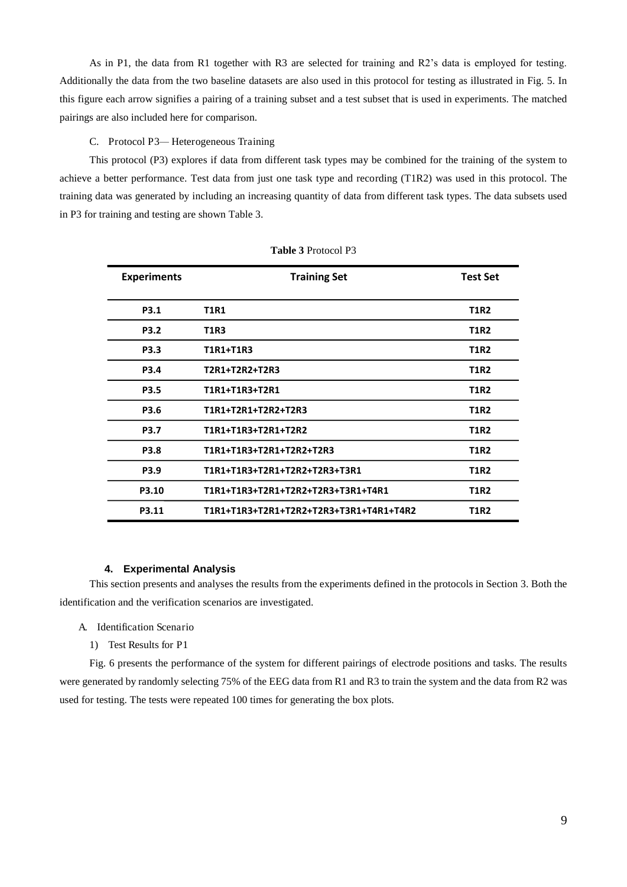As in P1, the data from R1 together with R3 are selected for training and R2's data is employed for testing. Additionally the data from the two baseline datasets are also used in this protocol for testing as illustrated in Fig. 5. In this figure each arrow signifies a pairing of a training subset and a test subset that is used in experiments. The matched pairings are also included here for comparison.

#### C. Protocol P3*—* Heterogeneous Training

This protocol (P3) explores if data from different task types may be combined for the training of the system to achieve a better performance. Test data from just one task type and recording (T1R2) was used in this protocol. The training data was generated by including an increasing quantity of data from different task types. The data subsets used in P3 for training and testing are shown Table 3.

| <b>Experiments</b> | <b>Training Set</b>                     | <b>Test Set</b> |
|--------------------|-----------------------------------------|-----------------|
| <b>P3.1</b>        | <b>T1R1</b>                             | <b>T1R2</b>     |
| <b>P3.2</b>        | <b>T1R3</b>                             | <b>T1R2</b>     |
| <b>P3.3</b>        | T1R1+T1R3                               | <b>T1R2</b>     |
| <b>P3.4</b>        | T2R1+T2R2+T2R3                          | <b>T1R2</b>     |
| <b>P3.5</b>        | T1R1+T1R3+T2R1                          | <b>T1R2</b>     |
| P3.6               | T1R1+T2R1+T2R2+T2R3                     | <b>T1R2</b>     |
| <b>P3.7</b>        | T1R1+T1R3+T2R1+T2R2                     | <b>T1R2</b>     |
| <b>P3.8</b>        | T1R1+T1R3+T2R1+T2R2+T2R3                | <b>T1R2</b>     |
| <b>P3.9</b>        | T1R1+T1R3+T2R1+T2R2+T2R3+T3R1           | <b>T1R2</b>     |
| P3.10              | T1R1+T1R3+T2R1+T2R2+T2R3+T3R1+T4R1      | <b>T1R2</b>     |
| P3.11              | T1R1+T1R3+T2R1+T2R2+T2R3+T3R1+T4R1+T4R2 | <b>T1R2</b>     |

#### **Table 3** Protocol P3

#### **4. Experimental Analysis**

This section presents and analyses the results from the experiments defined in the protocols in Section 3. Both the identification and the verification scenarios are investigated.

- A. Identification Scenario
	- 1) Test Results for P1

Fig. 6 presents the performance of the system for different pairings of electrode positions and tasks. The results were generated by randomly selecting 75% of the EEG data from R1 and R3 to train the system and the data from R2 was used for testing. The tests were repeated 100 times for generating the box plots.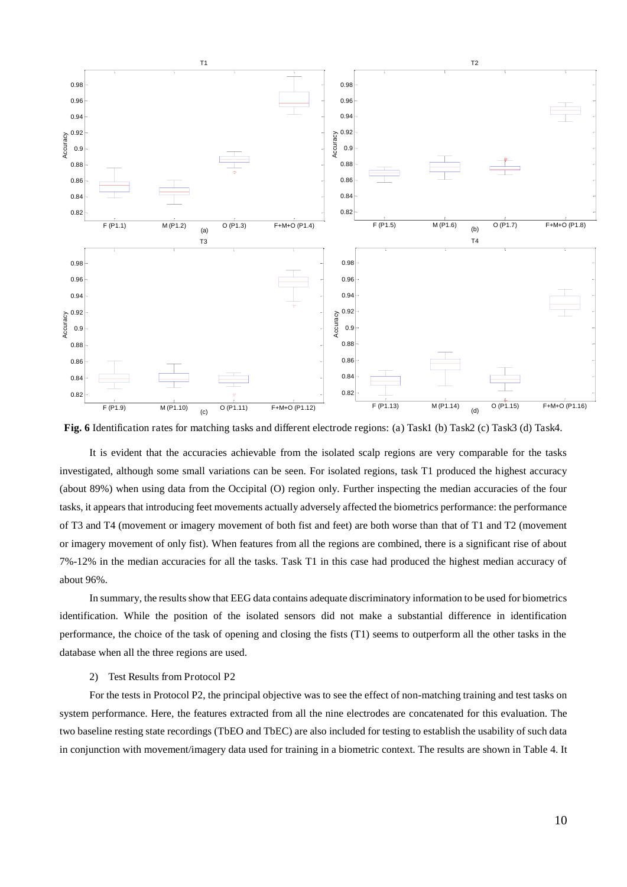

**Fig. 6** Identification rates for matching tasks and different electrode regions: (a) Task1 (b) Task2 (c) Task3 (d) Task4.

It is evident that the accuracies achievable from the isolated scalp regions are very comparable for the tasks investigated, although some small variations can be seen. For isolated regions, task T1 produced the highest accuracy (about 89%) when using data from the Occipital (O) region only. Further inspecting the median accuracies of the four tasks, it appears that introducing feet movements actually adversely affected the biometrics performance: the performance of T3 and T4 (movement or imagery movement of both fist and feet) are both worse than that of T1 and T2 (movement or imagery movement of only fist). When features from all the regions are combined, there is a significant rise of about 7%-12% in the median accuracies for all the tasks. Task T1 in this case had produced the highest median accuracy of about 96%.

In summary, the results show that EEG data contains adequate discriminatory information to be used for biometrics identification. While the position of the isolated sensors did not make a substantial difference in identification performance, the choice of the task of opening and closing the fists (T1) seems to outperform all the other tasks in the database when all the three regions are used.

#### 2) Test Results from Protocol P2

For the tests in Protocol P2, the principal objective was to see the effect of non-matching training and test tasks on system performance. Here, the features extracted from all the nine electrodes are concatenated for this evaluation. The two baseline resting state recordings (TbEO and TbEC) are also included for testing to establish the usability of such data in conjunction with movement/imagery data used for training in a biometric context. The results are shown in Table 4. It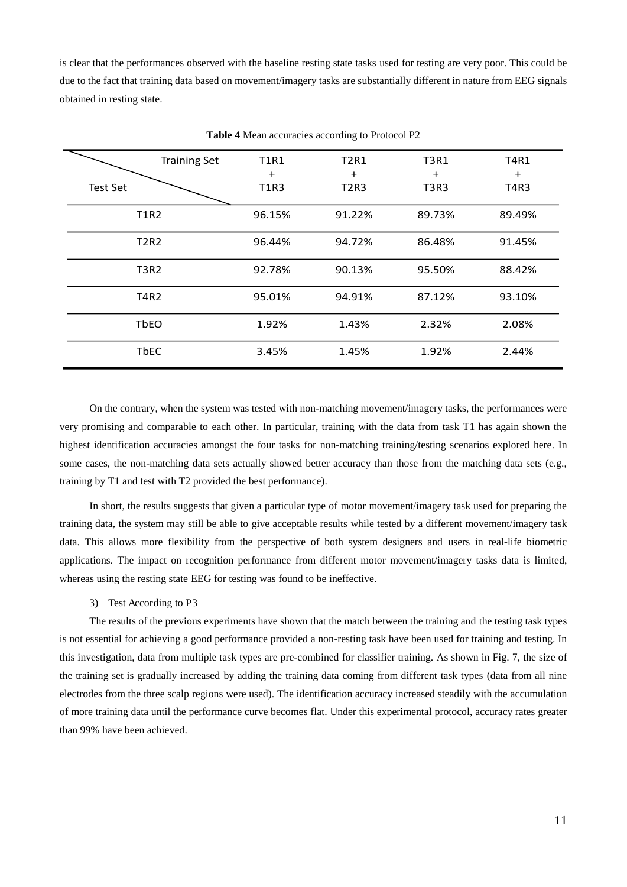is clear that the performances observed with the baseline resting state tasks used for testing are very poor. This could be due to the fact that training data based on movement/imagery tasks are substantially different in nature from EEG signals obtained in resting state.

|             | <b>Training Set</b> | <b>T1R1</b>              | <b>T2R1</b>              | <b>T3R1</b>                                | <b>T4R1</b> |
|-------------|---------------------|--------------------------|--------------------------|--------------------------------------------|-------------|
| Test Set    |                     | $\ddot{}$<br><b>T1R3</b> | $\ddot{}$<br><b>T2R3</b> | $\ddot{}$<br>T <sub>3</sub> R <sub>3</sub> | $+$<br>T4R3 |
|             | <b>T1R2</b>         | 96.15%                   | 91.22%                   | 89.73%                                     | 89.49%      |
| <b>T2R2</b> |                     | 96.44%                   | 86.48%<br>94.72%         |                                            | 91.45%      |
| <b>T3R2</b> |                     | 92.78%                   | 90.13%                   | 95.50%                                     | 88.42%      |
| <b>T4R2</b> |                     | 95.01%                   | 94.91%                   | 87.12%                                     | 93.10%      |
| <b>TbEO</b> |                     | 1.92%                    | 1.43%                    | 2.32%                                      | 2.08%       |
| <b>TbEC</b> |                     | 3.45%                    | 1.45%                    | 1.92%                                      | 2.44%       |

**Table 4** Mean accuracies according to Protocol P2

On the contrary, when the system was tested with non-matching movement/imagery tasks, the performances were very promising and comparable to each other. In particular, training with the data from task T1 has again shown the highest identification accuracies amongst the four tasks for non-matching training/testing scenarios explored here. In some cases, the non-matching data sets actually showed better accuracy than those from the matching data sets (e.g., training by T1 and test with T2 provided the best performance).

In short, the results suggests that given a particular type of motor movement/imagery task used for preparing the training data, the system may still be able to give acceptable results while tested by a different movement/imagery task data. This allows more flexibility from the perspective of both system designers and users in real-life biometric applications. The impact on recognition performance from different motor movement/imagery tasks data is limited, whereas using the resting state EEG for testing was found to be ineffective.

#### 3) Test According to P3

The results of the previous experiments have shown that the match between the training and the testing task types is not essential for achieving a good performance provided a non-resting task have been used for training and testing. In this investigation, data from multiple task types are pre-combined for classifier training. As shown in Fig. 7, the size of the training set is gradually increased by adding the training data coming from different task types (data from all nine electrodes from the three scalp regions were used). The identification accuracy increased steadily with the accumulation of more training data until the performance curve becomes flat. Under this experimental protocol, accuracy rates greater than 99% have been achieved.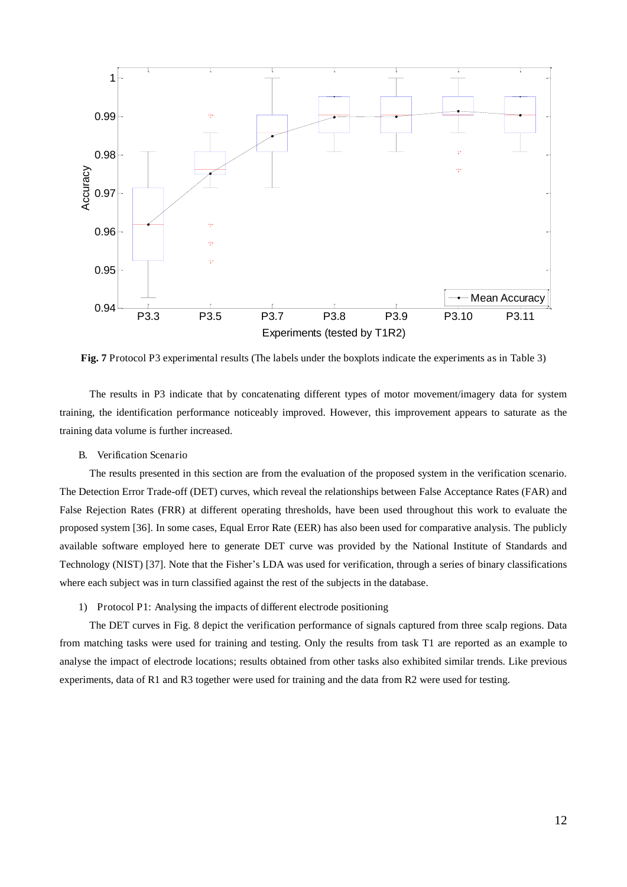

**Fig. 7** Protocol P3 experimental results (The labels under the boxplots indicate the experiments as in Table 3)

The results in P3 indicate that by concatenating different types of motor movement/imagery data for system training, the identification performance noticeably improved. However, this improvement appears to saturate as the training data volume is further increased.

B. Verification Scenario

The results presented in this section are from the evaluation of the proposed system in the verification scenario. The Detection Error Trade-off (DET) curves, which reveal the relationships between False Acceptance Rates (FAR) and False Rejection Rates (FRR) at different operating thresholds, have been used throughout this work to evaluate the proposed system [36]. In some cases, Equal Error Rate (EER) has also been used for comparative analysis. The publicly available software employed here to generate DET curve was provided by the National Institute of Standards and Technology (NIST) [37]. Note that the Fisher's LDA was used for verification, through a series of binary classifications where each subject was in turn classified against the rest of the subjects in the database.

1) Protocol P1: Analysing the impacts of different electrode positioning

The DET curves in Fig. 8 depict the verification performance of signals captured from three scalp regions. Data from matching tasks were used for training and testing. Only the results from task T1 are reported as an example to analyse the impact of electrode locations; results obtained from other tasks also exhibited similar trends. Like previous experiments, data of R1 and R3 together were used for training and the data from R2 were used for testing.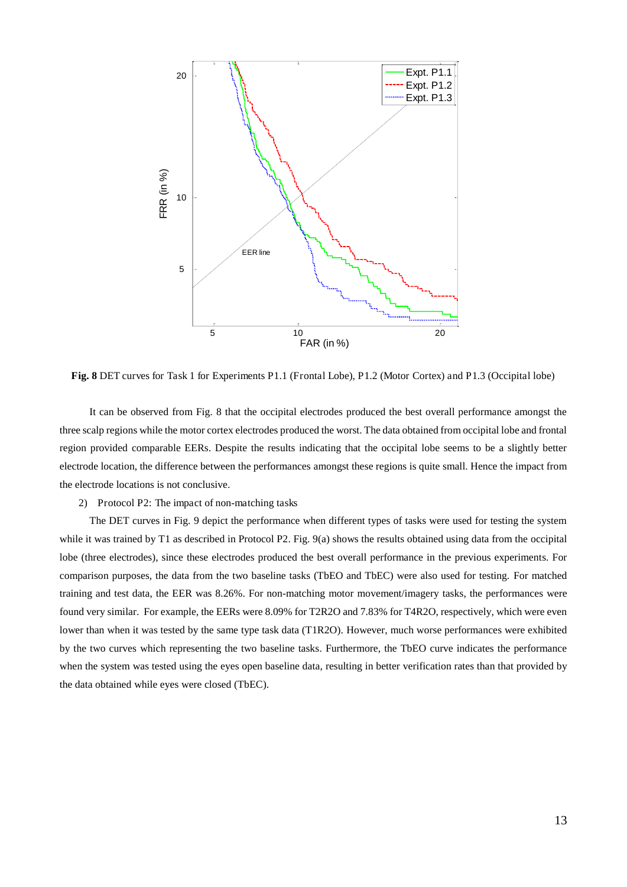

**Fig. 8** DET curves for Task 1 for Experiments P1.1 (Frontal Lobe), P1.2 (Motor Cortex) and P1.3 (Occipital lobe)

It can be observed from Fig. 8 that the occipital electrodes produced the best overall performance amongst the three scalp regions while the motor cortex electrodes produced the worst. The data obtained from occipital lobe and frontal region provided comparable EERs. Despite the results indicating that the occipital lobe seems to be a slightly better electrode location, the difference between the performances amongst these regions is quite small. Hence the impact from the electrode locations is not conclusive.

2) Protocol P2: The impact of non-matching tasks

The DET curves in Fig. 9 depict the performance when different types of tasks were used for testing the system while it was trained by T1 as described in Protocol P2. Fig. 9(a) shows the results obtained using data from the occipital lobe (three electrodes), since these electrodes produced the best overall performance in the previous experiments. For comparison purposes, the data from the two baseline tasks (TbEO and TbEC) were also used for testing. For matched training and test data, the EER was 8.26%. For non-matching motor movement/imagery tasks, the performances were found very similar. For example, the EERs were 8.09% for T2R2O and 7.83% for T4R2O, respectively, which were even lower than when it was tested by the same type task data (T1R2O). However, much worse performances were exhibited by the two curves which representing the two baseline tasks. Furthermore, the TbEO curve indicates the performance when the system was tested using the eyes open baseline data, resulting in better verification rates than that provided by the data obtained while eyes were closed (TbEC).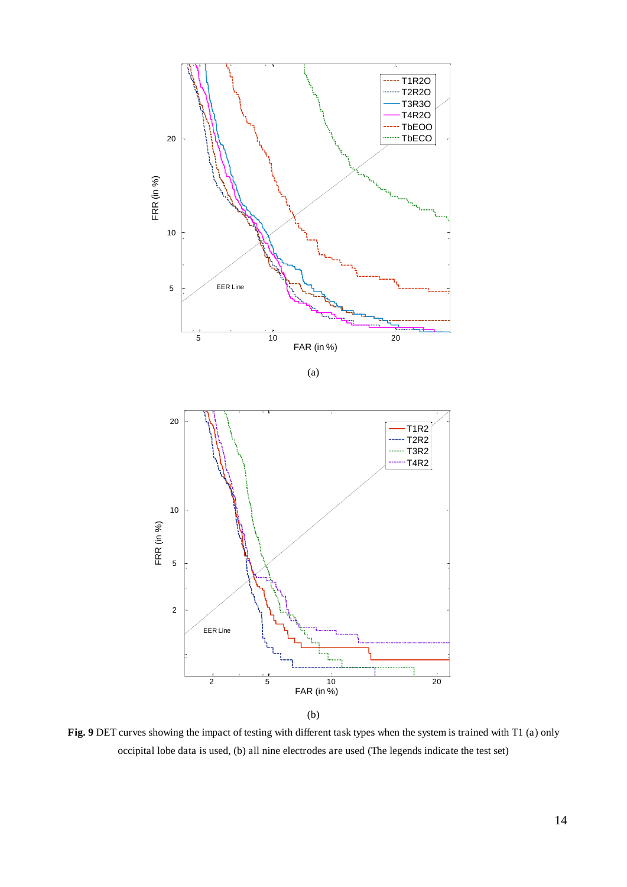

**Fig. 9** DET curves showing the impact of testing with different task types when the system is trained with T1 (a) only occipital lobe data is used, (b) all nine electrodes are used (The legends indicate the test set)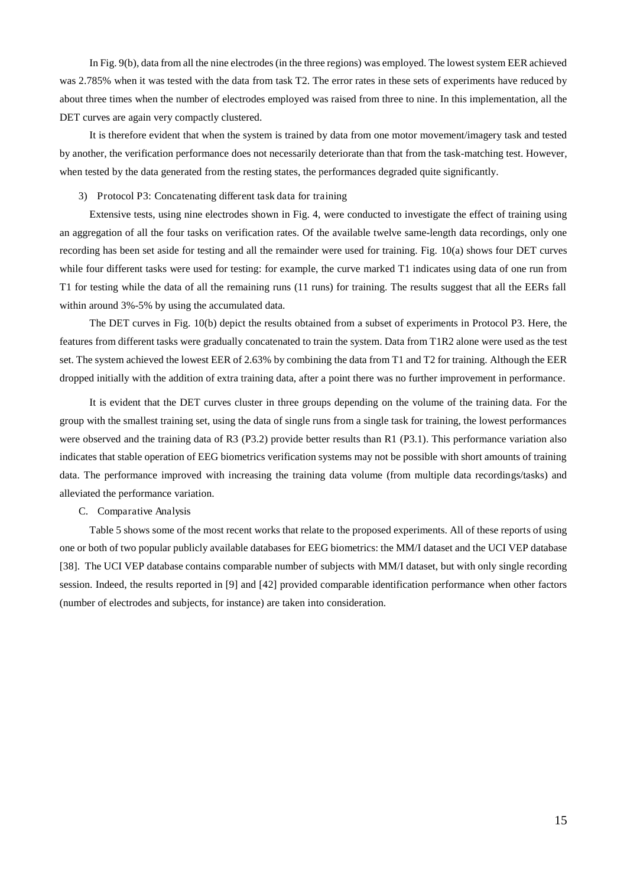In Fig. 9(b), data from all the nine electrodes (in the three regions) was employed. The lowest system EER achieved was 2.785% when it was tested with the data from task T2. The error rates in these sets of experiments have reduced by about three times when the number of electrodes employed was raised from three to nine. In this implementation, all the DET curves are again very compactly clustered.

It is therefore evident that when the system is trained by data from one motor movement/imagery task and tested by another, the verification performance does not necessarily deteriorate than that from the task-matching test. However, when tested by the data generated from the resting states, the performances degraded quite significantly.

#### 3) Protocol P3: Concatenating different task data for training

Extensive tests, using nine electrodes shown in Fig. 4, were conducted to investigate the effect of training using an aggregation of all the four tasks on verification rates. Of the available twelve same-length data recordings, only one recording has been set aside for testing and all the remainder were used for training. Fig. 10(a) shows four DET curves while four different tasks were used for testing: for example, the curve marked T1 indicates using data of one run from T1 for testing while the data of all the remaining runs (11 runs) for training. The results suggest that all the EERs fall within around 3%-5% by using the accumulated data.

The DET curves in Fig. 10(b) depict the results obtained from a subset of experiments in Protocol P3. Here, the features from different tasks were gradually concatenated to train the system. Data from T1R2 alone were used as the test set. The system achieved the lowest EER of 2.63% by combining the data from T1 and T2 for training. Although the EER dropped initially with the addition of extra training data, after a point there was no further improvement in performance.

It is evident that the DET curves cluster in three groups depending on the volume of the training data. For the group with the smallest training set, using the data of single runs from a single task for training, the lowest performances were observed and the training data of R3 (P3.2) provide better results than R1 (P3.1). This performance variation also indicates that stable operation of EEG biometrics verification systems may not be possible with short amounts of training data. The performance improved with increasing the training data volume (from multiple data recordings/tasks) and alleviated the performance variation.

#### C. Comparative Analysis

Table 5 shows some of the most recent works that relate to the proposed experiments. All of these reports of using one or both of two popular publicly available databases for EEG biometrics: the MM/I dataset and the UCI VEP database [38]. The UCI VEP database contains comparable number of subjects with MM/I dataset, but with only single recording session. Indeed, the results reported in [9] and [42] provided comparable identification performance when other factors (number of electrodes and subjects, for instance) are taken into consideration.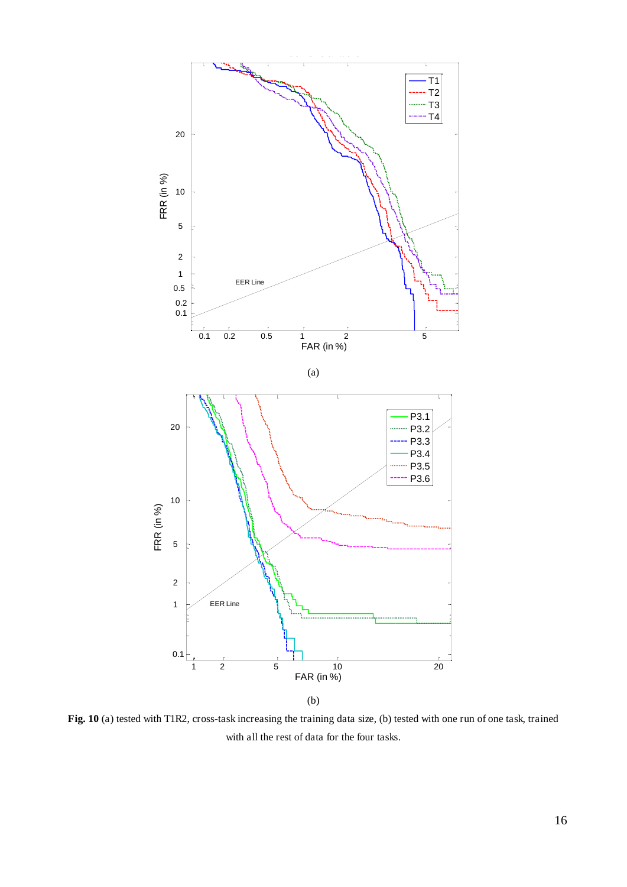

**Fig. 10** (a) tested with T1R2, cross-task increasing the training data size, (b) tested with one run of one task, trained with all the rest of data for the four tasks.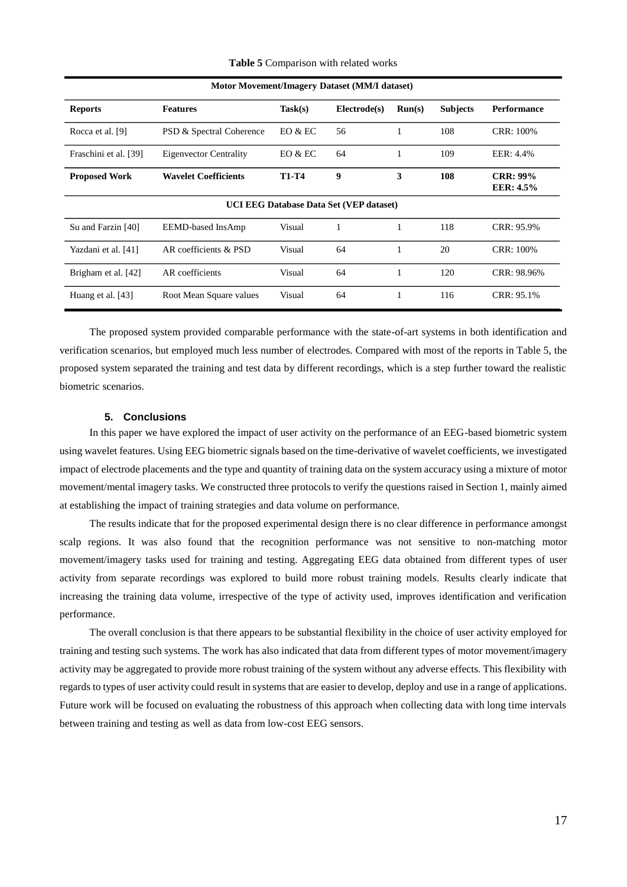| Motor Movement/Imagery Dataset (MM/I dataset)  |                               |              |              |        |                 |                                       |  |
|------------------------------------------------|-------------------------------|--------------|--------------|--------|-----------------|---------------------------------------|--|
| <b>Reports</b>                                 | <b>Features</b>               | Task(s)      | Electrode(s) | Run(s) | <b>Subjects</b> | <b>Performance</b>                    |  |
| Rocca et al. [9]                               | PSD & Spectral Coherence      | EO & EC      | 56           |        | 108             | <b>CRR: 100%</b>                      |  |
| Fraschini et al. [39]                          | <b>Eigenvector Centrality</b> | EO & EC      | 64           | 1      | 109             | EER: 4.4%                             |  |
| <b>Proposed Work</b>                           | <b>Wavelet Coefficients</b>   | <b>T1-T4</b> | 9            | 3      | 108             | <b>CRR</b> : 99%<br><b>EER</b> : 4.5% |  |
| <b>UCI EEG Database Data Set (VEP dataset)</b> |                               |              |              |        |                 |                                       |  |
| Su and Farzin [40]                             | EEMD-based InsAmp             | Visual       | 1            | 1      | 118             | CRR: 95.9%                            |  |
| Yazdani et al. [41]                            | AR coefficients & PSD         | Visual       | 64           | 1      | 20              | <b>CRR: 100%</b>                      |  |
| Brigham et al. [42]                            | AR coefficients               | Visual       | 64           | 1      | 120             | CRR: 98.96%                           |  |
| Huang et al. [43]                              | Root Mean Square values       | Visual       | 64           | 1      | 116             | CRR: 95.1%                            |  |

**Table 5** Comparison with related works

The proposed system provided comparable performance with the state-of-art systems in both identification and verification scenarios, but employed much less number of electrodes. Compared with most of the reports in Table 5, the proposed system separated the training and test data by different recordings, which is a step further toward the realistic biometric scenarios.

#### **5. Conclusions**

In this paper we have explored the impact of user activity on the performance of an EEG-based biometric system using wavelet features. Using EEG biometric signals based on the time-derivative of wavelet coefficients, we investigated impact of electrode placements and the type and quantity of training data on the system accuracy using a mixture of motor movement/mental imagery tasks. We constructed three protocols to verify the questions raised in Section 1, mainly aimed at establishing the impact of training strategies and data volume on performance.

The results indicate that for the proposed experimental design there is no clear difference in performance amongst scalp regions. It was also found that the recognition performance was not sensitive to non-matching motor movement/imagery tasks used for training and testing. Aggregating EEG data obtained from different types of user activity from separate recordings was explored to build more robust training models. Results clearly indicate that increasing the training data volume, irrespective of the type of activity used, improves identification and verification performance.

The overall conclusion is that there appears to be substantial flexibility in the choice of user activity employed for training and testing such systems. The work has also indicated that data from different types of motor movement/imagery activity may be aggregated to provide more robust training of the system without any adverse effects. This flexibility with regards to types of user activity could result in systems that are easier to develop, deploy and use in a range of applications. Future work will be focused on evaluating the robustness of this approach when collecting data with long time intervals between training and testing as well as data from low-cost EEG sensors.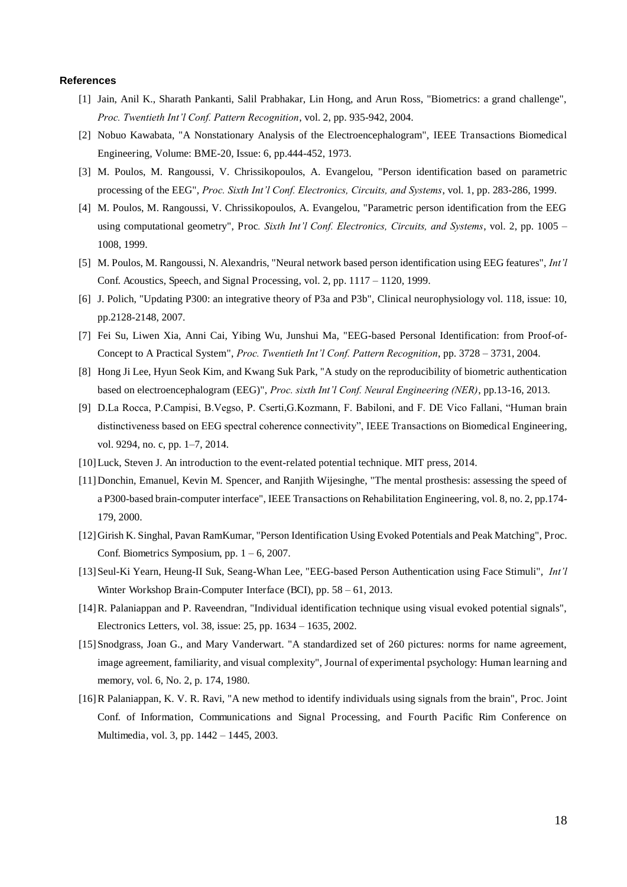#### **References**

- [1] Jain, Anil K., Sharath Pankanti, Salil Prabhakar, Lin Hong, and Arun Ross, "Biometrics: a grand challenge", *Proc. Twentieth Int'l Conf. Pattern Recognition*, vol. 2, pp. 935-942, 2004.
- [2] Nobuo Kawabata, "A Nonstationary Analysis of the Electroencephalogram", IEEE Transactions Biomedical Engineering, Volume: BME-20, Issue: 6, pp.444-452, 1973.
- [3] M. Poulos, M. Rangoussi, V. Chrissikopoulos, A. Evangelou, "Person identification based on parametric processing of the EEG", *Proc. Sixth Int'l Conf. Electronics, Circuits, and Systems*, vol. 1, pp. 283-286, 1999.
- [4] M. Poulos, M. Rangoussi, V. Chrissikopoulos, A. Evangelou, "Parametric person identification from the EEG using computational geometry", Proc*. Sixth Int'l Conf. Electronics, Circuits, and Systems*, vol. 2, pp. 1005 – 1008, 1999.
- [5] M. Poulos, M. Rangoussi, N. Alexandris, "Neural network based person identification using EEG features", *Int'l*  Conf. Acoustics, Speech, and Signal Processing, vol. 2, pp. 1117 – 1120, 1999.
- [6] J. Polich, "Updating P300: an integrative theory of P3a and P3b", Clinical neurophysiology vol. 118, issue: 10, pp.2128-2148, 2007.
- [7] Fei Su, Liwen Xia, Anni Cai, Yibing Wu, Junshui Ma, "EEG-based Personal Identification: from Proof-of-Concept to A Practical System", *Proc. Twentieth Int'l Conf. Pattern Recognition*, pp. 3728 – 3731, 2004.
- [8] Hong Ji Lee, Hyun Seok Kim, and Kwang Suk Park, "A study on the reproducibility of biometric authentication based on electroencephalogram (EEG)", *Proc. sixth Int'l Conf. Neural Engineering (NER)*, pp.13-16, 2013.
- [9] D.La Rocca, P.Campisi, B.Vegso, P. Cserti,G.Kozmann, F. Babiloni, and F. DE Vico Fallani, "Human brain distinctiveness based on EEG spectral coherence connectivity", IEEE Transactions on Biomedical Engineering, vol. 9294, no. c, pp. 1–7, 2014.
- [10]Luck, Steven J. An introduction to the event-related potential technique. MIT press, 2014.
- [11]Donchin, Emanuel, Kevin M. Spencer, and Ranjith Wijesinghe, "The mental prosthesis: assessing the speed of a P300-based brain-computer interface", IEEE Transactions on Rehabilitation Engineering, vol. 8, no. 2, pp.174- 179, 2000.
- [12]Girish K. Singhal, Pavan RamKumar, "Person Identification Using Evoked Potentials and Peak Matching", Proc. Conf. Biometrics Symposium, pp.  $1 - 6$ , 2007.
- [13]Seul-Ki Yearn, Heung-II Suk, Seang-Whan Lee, "EEG-based Person Authentication using Face Stimuli", *Int'l*  Winter Workshop Brain-Computer Interface (BCI), pp. 58 – 61, 2013.
- [14]R. Palaniappan and P. Raveendran, "Individual identification technique using visual evoked potential signals", Electronics Letters, vol. 38, issue: 25, pp. 1634 – 1635, 2002.
- [15]Snodgrass, Joan G., and Mary Vanderwart. "A standardized set of 260 pictures: norms for name agreement, image agreement, familiarity, and visual complexity", Journal of experimental psychology: Human learning and memory, vol. 6, No. 2, p. 174, 1980.
- [16]R Palaniappan, K. V. R. Ravi, "A new method to identify individuals using signals from the brain", Proc. Joint Conf. of Information, Communications and Signal Processing, and Fourth Pacific Rim Conference on Multimedia, vol. 3, pp. 1442 – 1445, 2003.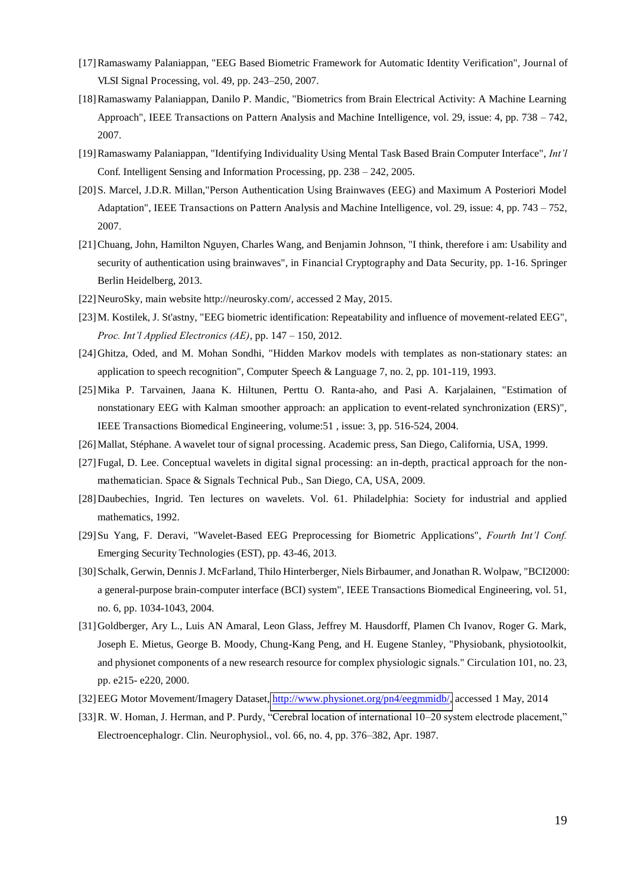- [17]Ramaswamy Palaniappan, "EEG Based Biometric Framework for Automatic Identity Verification", Journal of VLSI Signal Processing, vol. 49, pp. 243–250, 2007.
- [18]Ramaswamy Palaniappan, Danilo P. Mandic, "Biometrics from Brain Electrical Activity: A Machine Learning Approach", IEEE Transactions on Pattern Analysis and Machine Intelligence, vol. 29, issue: 4, pp. 738 – 742, 2007.
- [19]Ramaswamy Palaniappan, "Identifying Individuality Using Mental Task Based Brain Computer Interface", *Int'l*  Conf. Intelligent Sensing and Information Processing, pp. 238 – 242, 2005.
- [20] S. Marcel, J.D.R. Millan,"Person Authentication Using Brainwaves (EEG) and Maximum A Posteriori Model Adaptation", IEEE Transactions on Pattern Analysis and Machine Intelligence, vol. 29, issue: 4, pp. 743 – 752, 2007.
- [21]Chuang, John, Hamilton Nguyen, Charles Wang, and Benjamin Johnson, "I think, therefore i am: Usability and security of authentication using brainwaves", in Financial Cryptography and Data Security, pp. 1-16. Springer Berlin Heidelberg, 2013.
- [22]NeuroSky, main website http://neurosky.com/, accessed 2 May, 2015.
- [23]M. Kostilek, J. St'astny, "EEG biometric identification: Repeatability and influence of movement-related EEG", *Proc. Int'l Applied Electronics (AE)*, pp. 147 – 150, 2012.
- [24]Ghitza, Oded, and M. Mohan Sondhi, "Hidden Markov models with templates as non-stationary states: an application to speech recognition", Computer Speech & Language 7, no. 2, pp. 101-119, 1993.
- [25]Mika P. Tarvainen, Jaana K. Hiltunen, Perttu O. Ranta-aho, and Pasi A. Karjalainen, "Estimation of nonstationary EEG with Kalman smoother approach: an application to event-related synchronization (ERS)", IEEE Transactions Biomedical Engineering, volume:51 , issue: 3, pp. 516-524, 2004.
- [26]Mallat, Stéphane. A wavelet tour of signal processing. Academic press, San Diego, California, USA, 1999.
- [27]Fugal, D. Lee. Conceptual wavelets in digital signal processing: an in-depth, practical approach for the nonmathematician. Space & Signals Technical Pub., San Diego, CA, USA, 2009.
- [28]Daubechies, Ingrid. Ten lectures on wavelets. Vol. 61. Philadelphia: Society for industrial and applied mathematics, 1992.
- [29]Su Yang, F. Deravi, "Wavelet-Based EEG Preprocessing for Biometric Applications", *Fourth Int'l Conf.*  Emerging Security Technologies (EST), pp. 43-46, 2013.
- [30] Schalk, Gerwin, Dennis J. McFarland, Thilo Hinterberger, Niels Birbaumer, and Jonathan R. Wolpaw, "BCI2000: a general-purpose brain-computer interface (BCI) system", IEEE Transactions Biomedical Engineering, vol. 51, no. 6, pp. 1034-1043, 2004.
- [31]Goldberger, Ary L., Luis AN Amaral, Leon Glass, Jeffrey M. Hausdorff, Plamen Ch Ivanov, Roger G. Mark, Joseph E. Mietus, George B. Moody, Chung-Kang Peng, and H. Eugene Stanley, "Physiobank, physiotoolkit, and physionet components of a new research resource for complex physiologic signals." Circulation 101, no. 23, pp. e215- e220, 2000.
- [32]EEG Motor Movement/Imagery Dataset, [http://www.physionet.org/pn4/eegmmidb/,](http://www.physionet.org/pn4/eegmmidb/) accessed 1 May, 2014
- [33]R. W. Homan, J. Herman, and P. Purdy, "Cerebral location of international 10–20 system electrode placement," Electroencephalogr. Clin. Neurophysiol., vol. 66, no. 4, pp. 376–382, Apr. 1987.